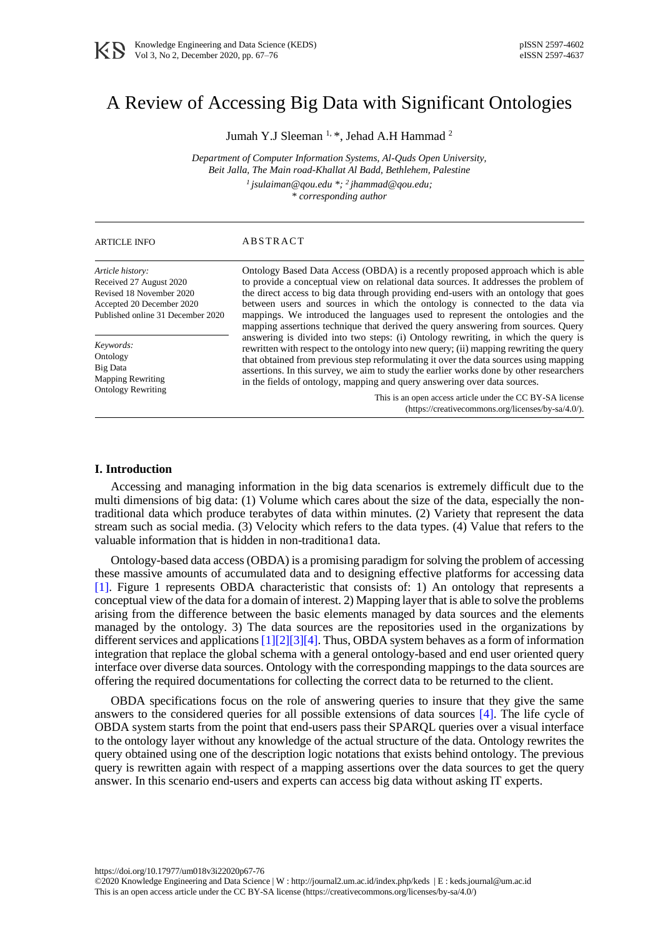# A Review of Accessing Big Data with Significant Ontologies

Jumah Y.J Sleeman<sup>1, \*</sup>, Jehad A.H Hammad<sup>2</sup>

*Department of Computer Information Systems, Al-Quds Open University, Beit Jalla, The Main road-Khallat Al Badd, Bethlehem, Palestine 1 jsulaiman@qou.edu \*; <sup>2</sup>jhammad@qou.edu;*

*\* corresponding author*

# ARTICLE INFO ABSTRACT

*Article history:* Received 27 August 2020 Revised 18 November 2020 Accepted 20 December 2020 Published online 31 December 2020

*Keywords:* **Ontology** Big Data Mapping Rewriting Ontology Rewriting Ontology Based Data Access (OBDA) is a recently proposed approach which is able to provide a conceptual view on relational data sources. It addresses the problem of the direct access to big data through providing end-users with an ontology that goes between users and sources in which the ontology is connected to the data via mappings. We introduced the languages used to represent the ontologies and the mapping assertions technique that derived the query answering from sources. Query answering is divided into two steps: (i) Ontology rewriting, in which the query is rewritten with respect to the ontology into new query; (ii) mapping rewriting the query that obtained from previous step reformulating it over the data sources using mapping assertions. In this survey, we aim to study the earlier works done by other researchers in the fields of ontology, mapping and query answering over data sources.

> This is an open access article under the CC BY-SA license [\(https://creativecommons.org/licenses/by-sa/4.0/\)](https://creativecommons.org/licenses/by-sa/4.0/).

# **I. Introduction**

Accessing and managing information in the big data scenarios is extremely difficult due to the multi dimensions of big data: (1) Volume which cares about the size of the data, especially the nontraditional data which produce terabytes of data within minutes. (2) Variety that represent the data stream such as social media. (3) Velocity which refers to the data types. (4) Value that refers to the valuable information that is hidden in non-traditiona1 data.

Ontology-based data access (OBDA) is a promising paradigm for solving the problem of accessing these massive amounts of accumulated data and to designing effective platforms for accessing data [\[1\].](#page-8-0) Figure 1 represents OBDA characteristic that consists of: 1) An ontology that represents a conceptual view of the data for a domain of interest. 2) Mapping layer that is able to solve the problems arising from the difference between the basic elements managed by data sources and the elements managed by the ontology. 3) The data sources are the repositories used in the organizations by different services and application[s \[1\]\[2\]](#page-8-0)[\[3\]\[4\].](#page-8-1) Thus, OBDA system behaves as a form of information integration that replace the global schema with a general ontology-based and end user oriented query interface over diverse data sources. Ontology with the corresponding mappings to the data sources are offering the required documentations for collecting the correct data to be returned to the client.

OBDA specifications focus on the role of answering queries to insure that they give the same answers to the considered queries for all possible extensions of data sources [\[4\].](#page-8-2) The life cycle of OBDA system starts from the point that end-users pass their SPARQL queries over a visual interface to the ontology layer without any knowledge of the actual structure of the data. Ontology rewrites the query obtained using one of the description logic notations that exists behind ontology. The previous query is rewritten again with respect of a mapping assertions over the data sources to get the query answer. In this scenario end-users and experts can access big data without asking IT experts.

<https://doi.org/10.17977/um018v3i22020p67-76>

<sup>©2020</sup> Knowledge Engineering and Data Science | W [: http://journal2.um.ac.id/index.php/keds](http://journal2.um.ac.id/index.php/keds) | E [: keds.journal@um.ac.id](mailto:keds.journal@um.ac.id) This is an open access article under the CC BY-SA license [\(https://creativecommons.org/licenses/by-sa/4.0/\)](https://creativecommons.org/licenses/by-sa/4.0/)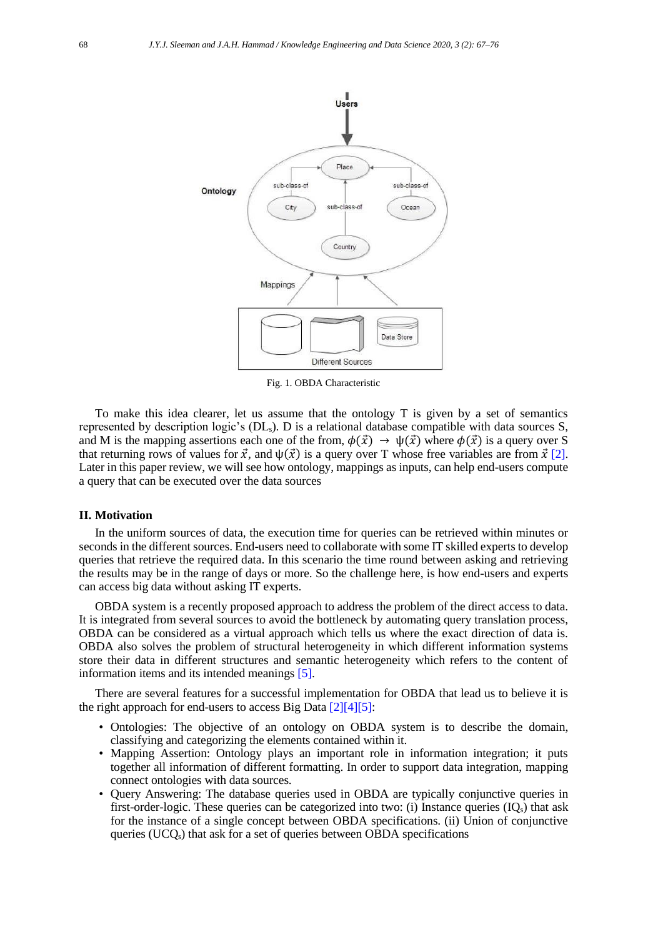

Fig. 1. OBDA Characteristic

To make this idea clearer, let us assume that the ontology T is given by a set of semantics represented by description logic's (DLs). D is a relational database compatible with data sources S, and M is the mapping assertions each one of the from,  $\phi(\vec{x}) \rightarrow \psi(\vec{x})$  where  $\phi(\vec{x})$  is a query over S that returning rows of values for  $\vec{x}$ , and  $\psi(\vec{x})$  is a query over T whose free variables are from  $\vec{x}$  [\[2\].](#page-8-3) Later in this paper review, we will see how ontology, mappings as inputs, can help end-users compute a query that can be executed over the data sources

#### **II. Motivation**

In the uniform sources of data, the execution time for queries can be retrieved within minutes or seconds in the different sources. End-users need to collaborate with some IT skilled experts to develop queries that retrieve the required data. In this scenario the time round between asking and retrieving the results may be in the range of days or more. So the challenge here, is how end-users and experts can access big data without asking IT experts.

OBDA system is a recently proposed approach to address the problem of the direct access to data. It is integrated from several sources to avoid the bottleneck by automating query translation process, OBDA can be considered as a virtual approach which tells us where the exact direction of data is. OBDA also solves the problem of structural heterogeneity in which different information systems store their data in different structures and semantic heterogeneity which refers to the content of information items and its intended meanings [\[5\].](#page-8-4)

There are several features for a successful implementation for OBDA that lead us to believe it is the right approach for end-users to access Big Data [\[2\]\[4\]](#page-8-3)[\[5\]:](#page-8-4)

- Ontologies: The objective of an ontology on OBDA system is to describe the domain, classifying and categorizing the elements contained within it.
- Mapping Assertion: Ontology plays an important role in information integration; it puts together all information of different formatting. In order to support data integration, mapping connect ontologies with data sources.
- Query Answering: The database queries used in OBDA are typically conjunctive queries in first-order-logic. These queries can be categorized into two: (i) Instance queries  $(IQ_s)$  that ask for the instance of a single concept between OBDA specifications. (ii) Union of conjunctive queries (UCQs) that ask for a set of queries between OBDA specifications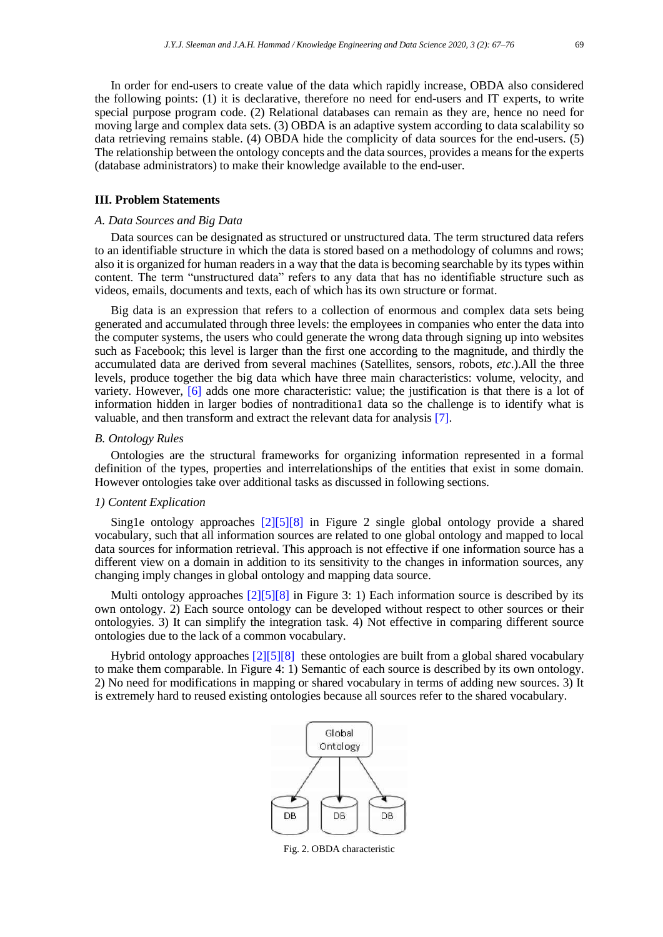In order for end-users to create value of the data which rapidly increase, OBDA also considered the following points: (1) it is declarative, therefore no need for end-users and IT experts, to write special purpose program code. (2) Relational databases can remain as they are, hence no need for moving large and complex data sets. (3) OBDA is an adaptive system according to data scalability so data retrieving remains stable. (4) OBDA hide the complicity of data sources for the end-users. (5) The relationship between the ontology concepts and the data sources, provides a means for the experts (database administrators) to make their knowledge available to the end-user.

# **III. Problem Statements**

# *A. Data Sources and Big Data*

Data sources can be designated as structured or unstructured data. The term structured data refers to an identifiable structure in which the data is stored based on a methodology of columns and rows; also it is organized for human readers in a way that the data is becoming searchable by its types within content. The term "unstructured data" refers to any data that has no identifiable structure such as videos, emails, documents and texts, each of which has its own structure or format.

Big data is an expression that refers to a collection of enormous and complex data sets being generated and accumulated through three levels: the employees in companies who enter the data into the computer systems, the users who could generate the wrong data through signing up into websites such as Facebook; this level is larger than the first one according to the magnitude, and thirdly the accumulated data are derived from several machines (Satellites, sensors, robots, *etc*.).All the three levels, produce together the big data which have three main characteristics: volume, velocity, and variety. However, [\[6\]](#page-8-5) adds one more characteristic: value; the justification is that there is a lot of information hidden in larger bodies of nontraditiona1 data so the challenge is to identify what is valuable, and then transform and extract the relevant data for analysis [\[7\].](#page-8-6)

#### *B. Ontology Rules*

Ontologies are the structural frameworks for organizing information represented in a formal definition of the types, properties and interrelationships of the entities that exist in some domain. However ontologies take over additional tasks as discussed in following sections.

## *1) Content Explication*

Sing1e ontology approaches [\[2\]\[5\]](#page-8-3)[\[8\]](#page-8-7) in Figure 2 single global ontology provide a shared vocabulary, such that all information sources are related to one global ontology and mapped to local data sources for information retrieval. This approach is not effective if one information source has a different view on a domain in addition to its sensitivity to the changes in information sources, any changing imply changes in global ontology and mapping data source.

Multi ontology approaches [\[2\]\[5\]](#page-8-3)[\[8\]](#page-8-7) in Figure 3: 1) Each information source is described by its own ontology. 2) Each source ontology can be developed without respect to other sources or their ontologyies. 3) It can simplify the integration task. 4) Not effective in comparing different source ontologies due to the lack of a common vocabulary.

Hybrid ontology approaches [\[2\]\[5\]](#page-8-3)[\[8\]](#page-8-7) these ontologies are built from a global shared vocabulary to make them comparable. In Figure 4: 1) Semantic of each source is described by its own ontology. 2) No need for modifications in mapping or shared vocabulary in terms of adding new sources. 3) It is extremely hard to reused existing ontologies because all sources refer to the shared vocabulary.



Fig. 2. OBDA characteristic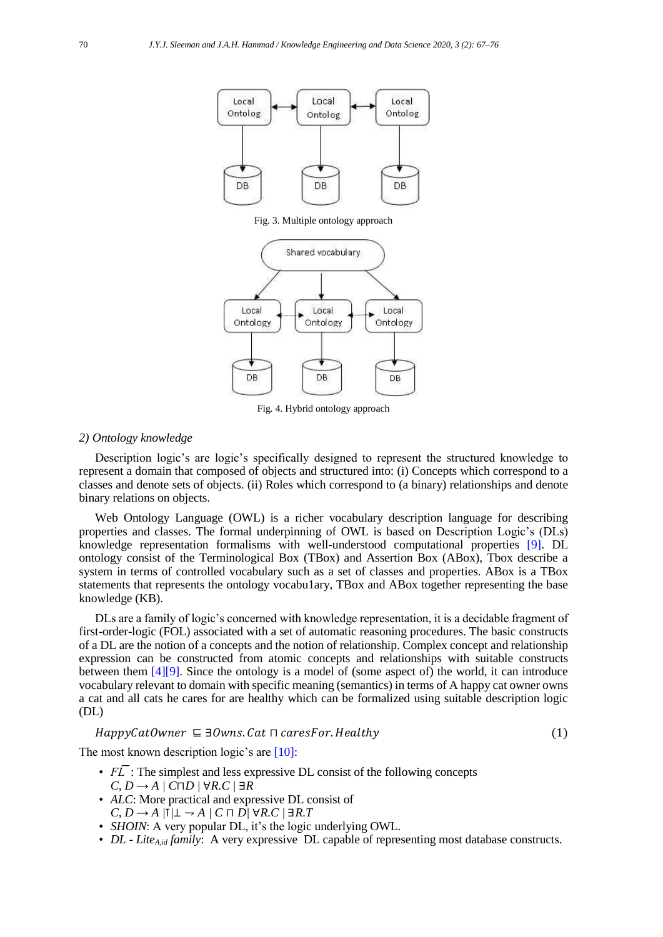

Fig. 3. Multiple ontology approach



Fig. 4. Hybrid ontology approach

# *2) Ontology knowledge*

Description logic's are logic's specifically designed to represent the structured knowledge to represent a domain that composed of objects and structured into: (i) Concepts which correspond to a classes and denote sets of objects. (ii) Roles which correspond to (a binary) relationships and denote binary relations on objects.

Web Ontology Language (OWL) is a richer vocabulary description language for describing properties and classes. The formal underpinning of OWL is based on Description Logic's (DLs) knowledge representation formalisms with well-understood computational properties [\[9\].](#page-8-8) DL ontology consist of the Terminological Box (TBox) and Assertion Box (ABox), Tbox describe a system in terms of controlled vocabulary such as a set of classes and properties. ABox is a TBox statements that represents the ontology vocabu1ary, TBox and ABox together representing the base knowledge (KB).

DLs are a family of logic's concerned with knowledge representation, it is a decidable fragment of first-order-logic (FOL) associated with a set of automatic reasoning procedures. The basic constructs of a DL are the notion of a concepts and the notion of relationship. Complex concept and relationship expression can be constructed from atomic concepts and relationships with suitable constructs between them [\[4\]\[9\].](#page-8-2) Since the ontology is a model of (some aspect of) the world, it can introduce vocabulary relevant to domain with specific meaning (semantics) in terms of A happy cat owner owns a cat and all cats he cares for are healthy which can be formalized using suitable description logic (DL)

#### $HappyCatOwner \subseteq \exists Owns. Cat \sqcap caresFor. Healthy$  (1)

The most known description logic's are [\[10\]:](#page-8-9)

- $F\overline{L}$ : The simplest and less expressive DL consist of the following concepts  $C, D → A / C<sup>T</sup> D / ∅ R.C / ∃ R$
- *ALC*: More practical and expressive DL consist of  $C, D \rightarrow A / I/L \rightarrow A / C \sqcap D / \forall R.C / \exists R.T$
- *SHOIN*: A very popular DL, it's the logic underlying OWL.
- *DL - LiteA,id family*: A very expressive DL capable of representing most database constructs.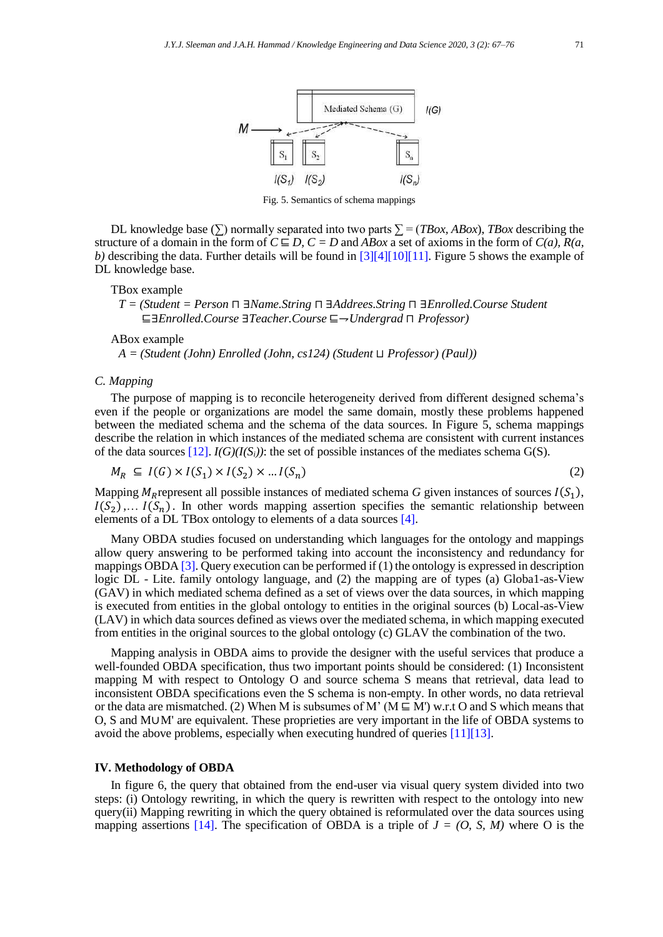

Fig. 5. Semantics of schema mappings

DL knowledge base ( $\Sigma$ ) normally separated into two parts  $\Sigma = (TBox, ABox)$ , *TBox* describing the structure of a domain in the form of  $C \sqsubseteq D$ ,  $C = D$  and *ABox* a set of axioms in the form of  $C(a)$ ,  $R(a)$ , *b)* describing the data. Further details will be found in [\[3\]\[4\]](#page-8-1)[\[10\]\[11\].](#page-8-9) Figure 5 shows the example of DL knowledge base.

#### TBox example

*T = (Student = Person* ⊓ ∃*Name.String* ⊓ ∃*Addrees.String* ⊓ ∃*Enrolled.Course Student*  ⊑∃*Enrolled.Course* ∃*Teacher.Course* ⊑⇁*Undergrad* ⊓ *Professor)*

ABox example

*A = (Student (John) Enrolled (John, cs124) (Student* ⊔ *Professor) (Paul))*

## *C. Mapping*

The purpose of mapping is to reconcile heterogeneity derived from different designed schema's even if the people or organizations are model the same domain, mostly these problems happened between the mediated schema and the schema of the data sources. In Figure 5, schema mappings describe the relation in which instances of the mediated schema are consistent with current instances of the data sources  $[12]$ .  $I(G)(I(S_i))$ : the set of possible instances of the mediates schema G(S).

$$
M_R \subseteq I(G) \times I(S_1) \times I(S_2) \times \dots I(S_n)
$$
\n<sup>(2)</sup>

Mapping  $M_R$  represent all possible instances of mediated schema *G* given instances of sources  $I(S_1)$ ,  $I(S_2), \ldots I(S_n)$ . In other words mapping assertion specifies the semantic relationship between elements of a DL TBox ontology to elements of a data sources [\[4\].](#page-8-2)

Many OBDA studies focused on understanding which languages for the ontology and mappings allow query answering to be performed taking into account the inconsistency and redundancy for mappings OBD[A \[3\].](#page-8-1) Query execution can be performed if (1) the ontology is expressed in description logic DL - Lite. family ontology language, and (2) the mapping are of types (a) Globa1-as-View (GAV) in which mediated schema defined as a set of views over the data sources, in which mapping is executed from entities in the global ontology to entities in the original sources (b) Local-as-View (LAV) in which data sources defined as views over the mediated schema, in which mapping executed from entities in the original sources to the global ontology (c) GLAV the combination of the two.

Mapping analysis in OBDA aims to provide the designer with the useful services that produce a well-founded OBDA specification, thus two important points should be considered: (1) Inconsistent mapping M with respect to Ontology O and source schema S means that retrieval, data lead to inconsistent OBDA specifications even the S schema is non-empty. In other words, no data retrieval or the data are mismatched. (2) When M is subsumes of M' ( $M \subseteq M'$ ) w.r.t O and S which means that O, S and M∪M' are equivalent. These proprieties are very important in the life of OBDA systems to avoid the above problems, especially when executing hundred of queries [\[11\]\[13\].](#page-8-11)

# **IV. Methodology of OBDA**

In figure 6, the query that obtained from the end-user via visual query system divided into two steps: (i) Ontology rewriting, in which the query is rewritten with respect to the ontology into new query(ii) Mapping rewriting in which the query obtained is reformulated over the data sources using mapping assertions [\[14\].](#page-8-12) The specification of OBDA is a triple of  $J = (O, S, M)$  where O is the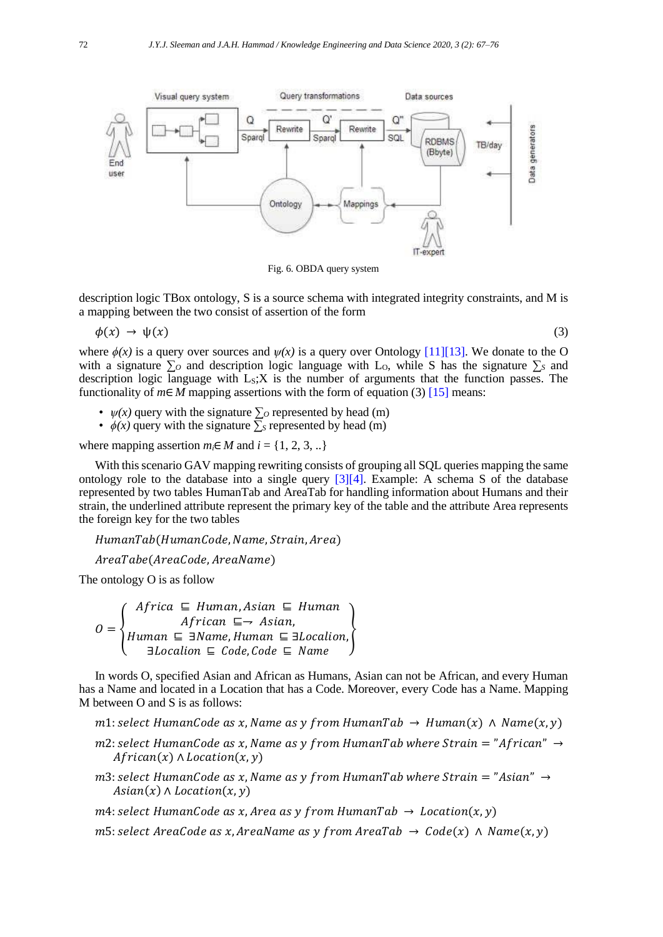

Fig. 6. OBDA query system

description logic TBox ontology, S is a source schema with integrated integrity constraints, and M is a mapping between the two consist of assertion of the form

$$
\phi(x) \to \psi(x) \tag{3}
$$

where  $\phi(x)$  is a query over sources and  $\psi(x)$  is a query over Ontology [\[11\]\[13\].](#page-8-11) We donate to the O with a signature  $\sum o$  and description logic language with L<sub>O</sub>, while S has the signature  $\sum s$  and description logic language with  $L_s$ ; X is the number of arguments that the function passes. The functionality of  $m \in M$  mapping assertions with the form of equation (3) [\[15\]](#page-8-13) means:

- $\psi(x)$  query with the signature  $\sum o$  represented by head (m)
- $\phi(x)$  query with the signature  $\overline{\Sigma}_s$  represented by head (m)

where mapping assertion  $m_i \in M$  and  $i = \{1, 2, 3, ...\}$ 

With this scenario GAV mapping rewriting consists of grouping all SQL queries mapping the same ontology role to the database into a single query  $[3][4]$ . Example: A schema S of the database represented by two tables HumanTab and AreaTab for handling information about Humans and their strain, the underlined attribute represent the primary key of the table and the attribute Area represents the foreign key for the two tables

HumanTab(HumanCode, Name, Strain, Area)

AreaTabe(AreaCode, AreaName)

The ontology O is as follow

 $\bm{o}$  = Africa ⊑ Human, Asian ⊑ Human African ⊑→ Asian,  $Human \subseteq \exists Name, Human \subseteq \exists Localion,$ <br> $\exists Localion \subseteq Code, Code \subseteq Name$ 

In words O, specified Asian and African as Humans, Asian can not be African, and every Human has a Name and located in a Location that has a Code. Moreover, every Code has a Name. Mapping M between O and S is as follows:

m1: select HumanCode as x, Name as y from HumanTab  $\rightarrow$  Human(x)  $\land$  Name(x, y)

- m2: select HumanCode as x, Name as y from HumanTab where Strain = "African"  $\rightarrow$  $African(x) \wedge Location(x, y)$
- m3: select HumanCode as x, Name as y from HumanTab where Strain = "Asian"  $\rightarrow$  $A$ sian $(x) \wedge$ Location $(x, y)$

 $m4$ : select HumanCode as x, Area as y from HumanTab  $\rightarrow$  Location $(x, y)$ 

m5: select AreaCode as x, AreaName as y from AreaTab  $\rightarrow$  Code(x)  $\land$  Name(x, y)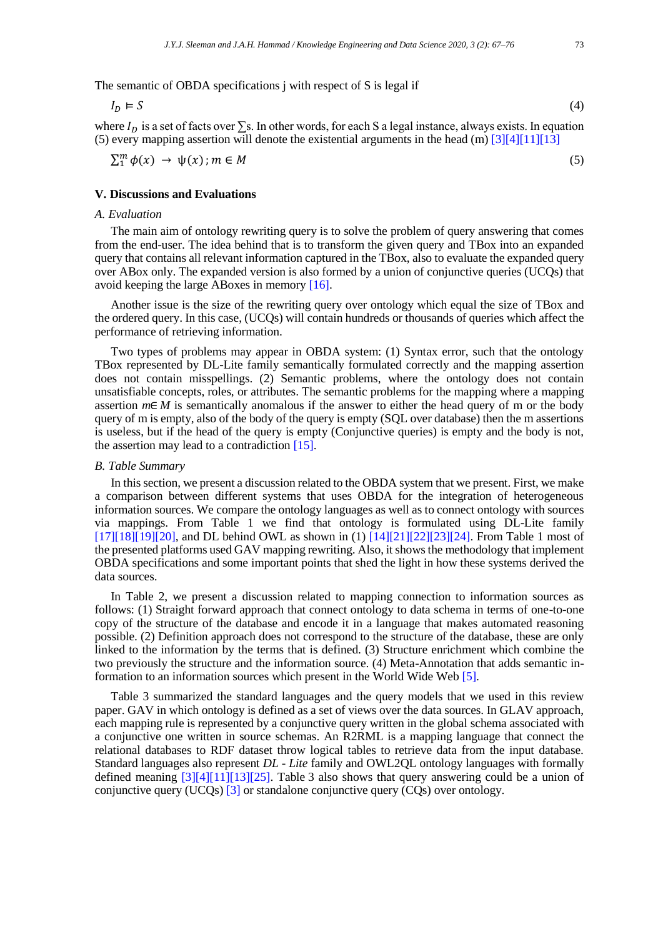The semantic of OBDA specifications j with respect of S is legal if

$$
I_D \vDash S \tag{4}
$$

where  $I<sub>D</sub>$  is a set of facts over  $\Sigma$ s. In other words, for each S a legal instance, always exists. In equation (5) every mapping assertion will denote the existential arguments in the head (m) [\[3\]\[4\]](#page-8-1)[\[11\]\[13\]](#page-8-11)

$$
\sum_{1}^{m} \phi(x) \to \psi(x); m \in M
$$
 (5)

# **V. Discussions and Evaluations**

# *A. Evaluation*

The main aim of ontology rewriting query is to solve the problem of query answering that comes from the end-user. The idea behind that is to transform the given query and TBox into an expanded query that contains all relevant information captured in the TBox, also to evaluate the expanded query over ABox only. The expanded version is also formed by a union of conjunctive queries (UCQs) that avoid keeping the large ABoxes in memor[y \[16\].](#page-8-14)

Another issue is the size of the rewriting query over ontology which equal the size of TBox and the ordered query. In this case, (UCQs) will contain hundreds or thousands of queries which affect the performance of retrieving information.

Two types of problems may appear in OBDA system: (1) Syntax error, such that the ontology TBox represented by DL-Lite family semantically formulated correctly and the mapping assertion does not contain misspellings. (2) Semantic problems, where the ontology does not contain unsatisfiable concepts, roles, or attributes. The semantic problems for the mapping where a mapping assertion  $m \in M$  is semantically anomalous if the answer to either the head query of m or the body query of m is empty, also of the body of the query is empty (SQL over database) then the m assertions is useless, but if the head of the query is empty (Conjunctive queries) is empty and the body is not, the assertion may lead to a contradiction [\[15\].](#page-8-13)

# *B. Table Summary*

In this section, we present a discussion related to the OBDA system that we present. First, we make a comparison between different systems that uses OBDA for the integration of heterogeneous information sources. We compare the ontology languages as well as to connect ontology with sources via mappings. From Table 1 we find that ontology is formulated using DL-Lite family  $[17][18][19][20]$  $[17][18][19][20]$ , and DL behind OWL as shown in  $(1)[14][21][22][23][24]$  $(1)[14][21][22][23][24]$  $(1)[14][21][22][23][24]$ . From Table 1 most of the presented platforms used GAV mapping rewriting. Also, it shows the methodology that implement OBDA specifications and some important points that shed the light in how these systems derived the data sources.

In Table 2, we present a discussion related to mapping connection to information sources as follows: (1) Straight forward approach that connect ontology to data schema in terms of one-to-one copy of the structure of the database and encode it in a language that makes automated reasoning possible. (2) Definition approach does not correspond to the structure of the database, these are only linked to the information by the terms that is defined. (3) Structure enrichment which combine the two previously the structure and the information source. (4) Meta-Annotation that adds semantic information to an information sources which present in the World Wide Web [\[5\].](#page-8-4)

Table 3 summarized the standard languages and the query models that we used in this review paper. GAV in which ontology is defined as a set of views over the data sources. In GLAV approach, each mapping rule is represented by a conjunctive query written in the global schema associated with a conjunctive one written in source schemas. An R2RML is a mapping language that connect the relational databases to RDF dataset throw logical tables to retrieve data from the input database. Standard languages also represent *DL - Lite* family and OWL2QL ontology languages with formally defined meaning [\[3\]\[4\]](#page-8-1)[\[11\]\[13\]](#page-8-11)[\[25\].](#page-9-3) Table 3 also shows that query answering could be a union of conjunctive query (UCQs) [\[3\]](#page-8-1) or standalone conjunctive query (CQs) over ontology.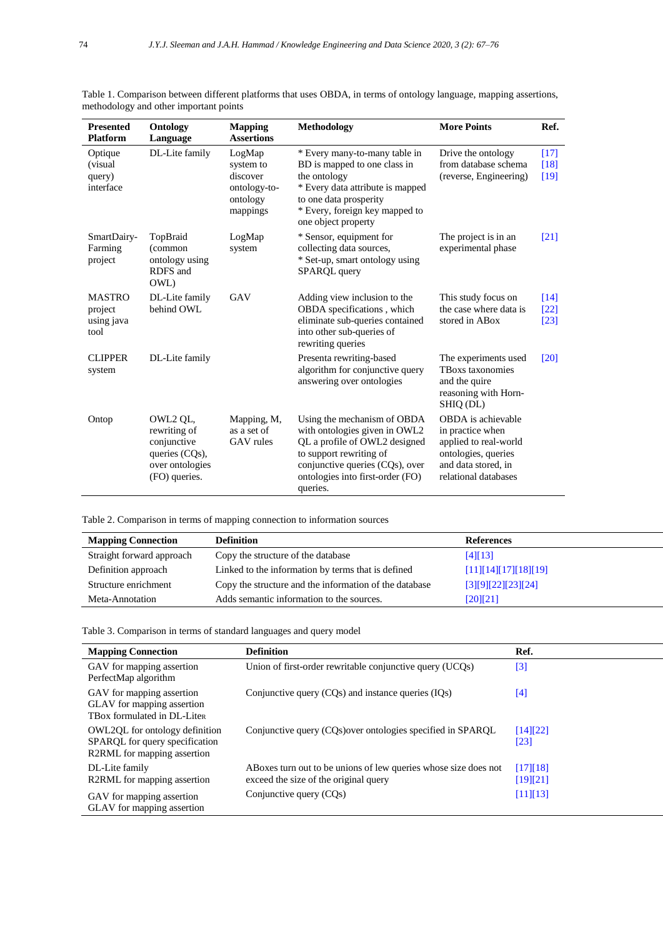| <b>Presented</b><br><b>Platform</b>            | Ontology<br>Language                                                                          | <b>Mapping</b><br><b>Assertions</b>                                     | Methodology                                                                                                                                                                                                 | <b>More Points</b>                                                                                                                    | Ref.                                   |
|------------------------------------------------|-----------------------------------------------------------------------------------------------|-------------------------------------------------------------------------|-------------------------------------------------------------------------------------------------------------------------------------------------------------------------------------------------------------|---------------------------------------------------------------------------------------------------------------------------------------|----------------------------------------|
| Optique<br>(visual)<br>query)<br>interface     | DL-Lite family                                                                                | LogMap<br>system to<br>discover<br>ontology-to-<br>ontology<br>mappings | * Every many-to-many table in<br>BD is mapped to one class in<br>the ontology<br>* Every data attribute is mapped<br>to one data prosperity<br>* Every, foreign key mapped to<br>one object property        | Drive the ontology<br>from database schema<br>(reverse, Engineering)                                                                  | [17]<br>[18]<br>$[19]$                 |
| SmartDairy-<br>Farming<br>project              | TopBraid<br>(common<br>ontology using<br>RDFS and<br>OWL)                                     | LogMap<br>system                                                        | * Sensor, equipment for<br>collecting data sources,<br>* Set-up, smart ontology using<br>SPARQL query                                                                                                       | The project is in an<br>experimental phase                                                                                            | $\lceil 21 \rceil$                     |
| <b>MASTRO</b><br>project<br>using java<br>tool | DL-Lite family<br>behind OWL                                                                  | GAV                                                                     | Adding view inclusion to the<br>OBDA specifications, which<br>eliminate sub-queries contained<br>into other sub-queries of<br>rewriting queries                                                             | This study focus on<br>the case where data is<br>stored in ABox                                                                       | $\lceil 14 \rceil$<br>$[22]$<br>$[23]$ |
| <b>CLIPPER</b><br>system                       | DL-Lite family                                                                                |                                                                         | Presenta rewriting-based<br>algorithm for conjunctive query<br>answering over ontologies                                                                                                                    | The experiments used<br><b>TBoxs</b> taxonomies<br>and the quire<br>reasoning with Horn-<br>SHIO (DL)                                 | [20]                                   |
| Ontop                                          | OWL2 QL,<br>rewriting of<br>conjunctive<br>queries (CQs),<br>over ontologies<br>(FO) queries. | Mapping, M,<br>as a set of<br>GAV rules                                 | Using the mechanism of OBDA<br>with ontologies given in OWL2<br>QL a profile of OWL2 designed<br>to support rewriting of<br>conjunctive queries (CQs), over<br>ontologies into first-order (FO)<br>queries. | OBDA is achievable<br>in practice when<br>applied to real-world<br>ontologies, queries<br>and data stored, in<br>relational databases |                                        |

Table 1. Comparison between different platforms that uses OBDA, in terms of ontology language, mapping assertions, methodology and other important points

Table 2. Comparison in terms of mapping connection to information sources

| <b>Mapping Connection</b> | <b>Definition</b>                                      | References             |
|---------------------------|--------------------------------------------------------|------------------------|
| Straight forward approach | Copy the structure of the database                     | [4][13]                |
| Definition approach       | Linked to the information by terms that is defined     | $[11][14][17][18][19]$ |
| Structure enrichment      | Copy the structure and the information of the database | $[3][9][22][23][24]$   |
| Meta-Annotation           | Adds semantic information to the sources.              | [20][21]               |

Table 3. Comparison in terms of standard languages and query model

| <b>Mapping Connection</b>                                                                       | <b>Definition</b>                                               | Ref.                           |
|-------------------------------------------------------------------------------------------------|-----------------------------------------------------------------|--------------------------------|
| GAV for mapping assertion<br>PerfectMap algorithm                                               | Union of first-order rewritable conjunctive query (UCQs)        | [3]                            |
| GAV for mapping assertion<br>GLAV for mapping assertion<br>TBox formulated in DL-Liter          | Conjunctive query $(CQs)$ and instance queries $(IQs)$          | [4]                            |
| OWL2OL for ontology definition<br>SPARQL for query specification<br>R2RML for mapping assertion | Conjunctive query (CQs) over ontologies specified in SPARQL     | [14][22]<br>$\lceil 23 \rceil$ |
| DL-Lite family                                                                                  | ABoxes turn out to be unions of lew queries whose size does not | [17][18]                       |
| R2RML for mapping assertion                                                                     | exceed the size of the original query                           | [19][21]                       |
| GAV for mapping assertion<br>GLAV for mapping assertion                                         | Conjunctive query (CQs)                                         | [11][13]                       |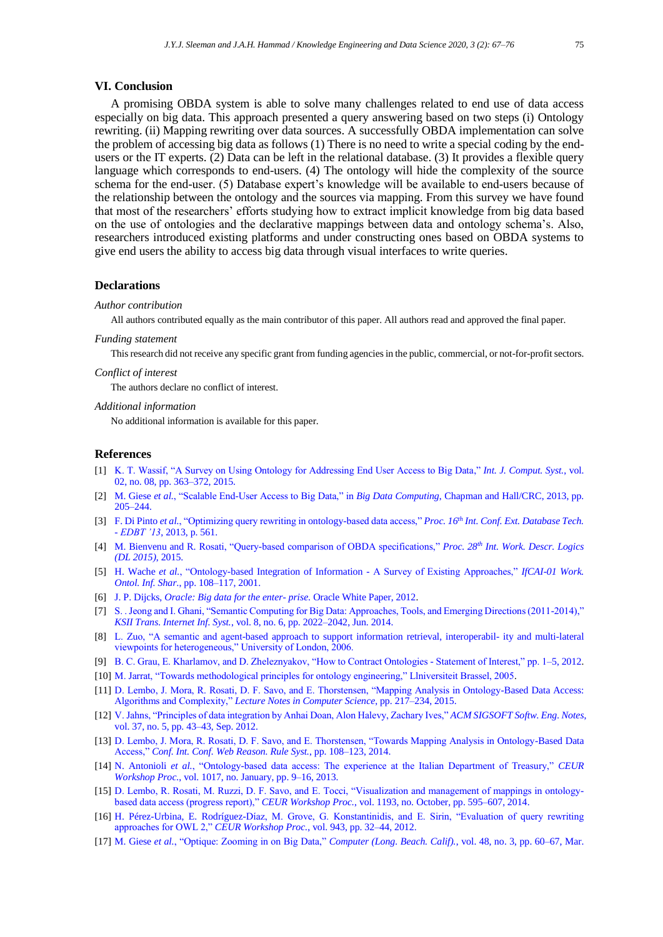# **VI. Conclusion**

A promising OBDA system is able to solve many challenges related to end use of data access especially on big data. This approach presented a query answering based on two steps (i) Ontology rewriting. (ii) Mapping rewriting over data sources. A successfully OBDA implementation can solve the problem of accessing big data as follows (1) There is no need to write a special coding by the endusers or the IT experts. (2) Data can be left in the relational database. (3) It provides a flexible query language which corresponds to end-users. (4) The ontology will hide the complexity of the source schema for the end-user. (5) Database expert's knowledge will be available to end-users because of the relationship between the ontology and the sources via mapping. From this survey we have found that most of the researchers' efforts studying how to extract implicit knowledge from big data based on the use of ontologies and the declarative mappings between data and ontology schema's. Also, researchers introduced existing platforms and under constructing ones based on OBDA systems to give end users the ability to access big data through visual interfaces to write queries.

# **Declarations**

#### *Author contribution*

All authors contributed equally as the main contributor of this paper. All authors read and approved the final paper.

#### *Funding statement*

This research did not receive any specific grant from funding agencies in the public, commercial, or not-for-profit sectors.

#### *Conflict of interest*

The authors declare no conflict of interest.

# *Additional information*

No additional information is available for this paper.

#### **References**

- <span id="page-8-0"></span>[1] [K. T. Wassif, "A Survey on Using Ontology for Addressing End User Access to Big Data,"](https://pdfcookie.com/documents/a-survey-on-using-ontology-for-addressing-end-user-access-to-big-data-0nlz0wnpexv5) *Int. J. Comput. Syst.*, vol. [02, no. 08, pp. 363–372, 2015.](https://pdfcookie.com/documents/a-survey-on-using-ontology-for-addressing-end-user-access-to-big-data-0nlz0wnpexv5)
- <span id="page-8-3"></span>[2] M. Giese *et al.*[, "Scalable End-User Access to Big Data," in](https://doi.org/10.1201/b16014-9) *Big Data Computing*, Chapman and Hall/CRC, 2013, pp. [205–244.](https://doi.org/10.1201/b16014-9)
- <span id="page-8-1"></span>[3] F. Di Pinto *et al.*[, "Optimizing query rewriting in ontology-based data access,"](https://doi.org/10.1145/2452376.2452441) *Proc. 16th Int. Conf. Ext. Database Tech. - EDBT '13*[, 2013, p. 561.](https://doi.org/10.1145/2452376.2452441)
- <span id="page-8-2"></span>[4] [M. Bienvenu and R. Rosati, "Query-based comparison of OBDA specifications,"](http://ceur-ws.org/Vol-1350/paper-11.pdf) *Proc. 28th Int. Work. Descr. Logics [\(DL 2015\)](http://ceur-ws.org/Vol-1350/paper-11.pdf)*, 2015.
- <span id="page-8-4"></span>[5] H. Wache *et al.*[, "Ontology-based Integration of Information -](http://ftp.informatik.rwth-aachen.de/Publications/CEUR-WS/Vol-47/wache.pdf) A Survey of Existing Approaches," *IfCAI-01 Work. Ontol. Inf. Shar.*[, pp. 108–117, 2001.](http://ftp.informatik.rwth-aachen.de/Publications/CEUR-WS/Vol-47/wache.pdf)
- <span id="page-8-5"></span>[6] J. P. Dijcks, *[Oracle: Big data for the enter-](https://www.oracle.com/assets/big-data-for-enterprise-519135.pdf) prise*. Oracle White Paper, 2012.
- <span id="page-8-6"></span>[7] [S. . Jeong and I. Ghani, "Semantic Computing for Big Data: Approaches, Tools, and Emerging Directions \(2011-2014\),"](https://doi.org/10.3837/tiis.2014.06.012)  *KSII Trans. Internet Inf. Syst.*[, vol. 8, no. 6, pp. 2022–2042, Jun. 2014.](https://doi.org/10.3837/tiis.2014.06.012)
- <span id="page-8-7"></span>[8] [L. Zuo, "A semantic and agent-based approach to support information retrieval, interoperabil-](http://networks.eecs.qmul.ac.uk/oldpages/documents/ZUO-Landong-PhDthesis.pdf) ity and multi-lateral [viewpoints for heterogeneous," University of London, 2006.](http://networks.eecs.qmul.ac.uk/oldpages/documents/ZUO-Landong-PhDthesis.pdf)
- <span id="page-8-8"></span>[9] [B. C. Grau, E. Kharlamov, and D. Zheleznyakov, "How to Contract Ontologies -](https://ora.ox.ac.uk/objects/uuid:16d39f45-beaa-4d1f-9842-cbbc98f210dd) Statement of Interest," pp. 1–5, 2012.
- <span id="page-8-9"></span>[10] [M. Jarrat, "Towards methodological principles for ontology engineering," Llniversiteit Brassel, 2005.](http://www.jarrar.info/phd-thesis/)
- <span id="page-8-11"></span>[11] [D. Lembo, J. Mora, R. Rosati, D. F. Savo, and E. Thorstensen, "Mapping Analysis in Ontology-Based Data Access:](https://doi.org/10.1007/978-3-319-25007-6_13)  Algorithms and Complexity," *[Lecture Notes in Computer Science](https://doi.org/10.1007/978-3-319-25007-6_13)*, pp. 217–234, 2015.
- <span id="page-8-10"></span>[12] [V. Jahns, "Principles of data integration by Anhai Doan, Alon Halevy, Zachary Ives,"](https://doi.org/10.1145/2347696.2347721) *ACM SIGSOFT Softw. Eng. Notes*, [vol. 37, no. 5, pp. 43–43, Sep. 2012.](https://doi.org/10.1145/2347696.2347721)
- [13] [D. Lembo, J. Mora, R. Rosati, D. F. Savo, and E. Thorstensen, "Towards Mapping Analysis in Ontology-Based Data](https://doi.org/10.1007/978-3-319-11113-1_8)  Access," *[Conf. Int. Conf. Web Reason. Rule Syst.](https://doi.org/10.1007/978-3-319-11113-1_8)*, pp. 108–123, 2014.
- <span id="page-8-12"></span>[14] N. Antonioli *et al.*[, "Ontology-based data access: The experience at the Italian Department of Treasury,"](http://ceur-ws.org/Vol-1017/Paper2CAiSE_IT2013.pdf) *CEUR Workshop Proc.*[, vol. 1017, no. January, pp. 9–16, 2013.](http://ceur-ws.org/Vol-1017/Paper2CAiSE_IT2013.pdf)
- <span id="page-8-13"></span>[15] [D. Lembo, R. Rosati, M. Ruzzi, D. F. Savo, and E. Tocci, "Visualization and management of mappings in ontology](http://ceur-ws.org/Vol-1193/paper_77.pdf)based data access (progress report)," *CEUR Workshop Proc.*[, vol. 1193, no. October, pp. 595–607, 2014.](http://ceur-ws.org/Vol-1193/paper_77.pdf)
- <span id="page-8-14"></span>[16] [H. Pérez-Urbina, E. Rodríguez-Díaz, M. Grove, G. Konstantinidis, and E. Sirin, "Evaluation of query rewriting](http://ceur-ws.org/Vol-943/SSWS_HPCSW2012_paper3.pdf)  approaches for OWL 2," *CEUR Workshop Proc.*[, vol. 943, pp. 32–44, 2012.](http://ceur-ws.org/Vol-943/SSWS_HPCSW2012_paper3.pdf)
- <span id="page-8-15"></span>[17] M. Giese *et al.*[, "Optique: Zooming in on Big Data,"](https://doi.org/10.1109/mc.2015.82) *Computer (Long. Beach. Calif).*, vol. 48, no. 3, pp. 60–67, Mar.